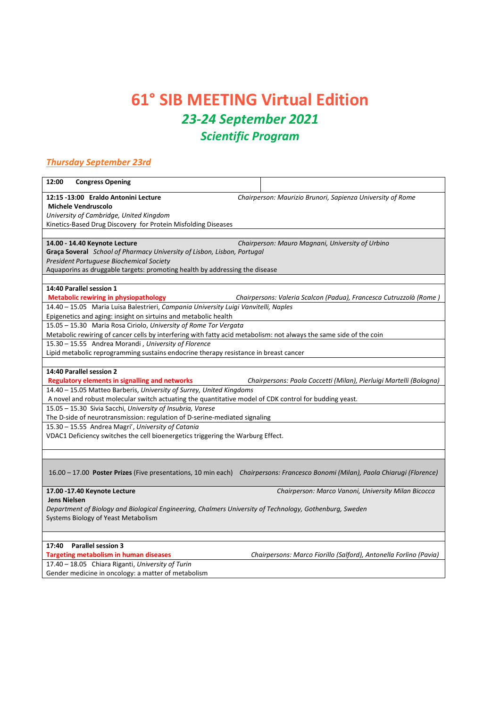## **61° SIB MEETING Virtual Edition** *23-24 September 2021 Scientific Program*

## *Thursday September 23rd*

| 12:00<br><b>Congress Opening</b>                                                                                   |                                                                                                                                 |
|--------------------------------------------------------------------------------------------------------------------|---------------------------------------------------------------------------------------------------------------------------------|
| 12:15 -13:00 Eraldo Antonini Lecture                                                                               | Chairperson: Maurizio Brunori, Sapienza University of Rome                                                                      |
| <b>Michele Vendruscolo</b>                                                                                         |                                                                                                                                 |
| University of Cambridge, United Kingdom                                                                            |                                                                                                                                 |
| Kinetics-Based Drug Discovery for Protein Misfolding Diseases                                                      |                                                                                                                                 |
|                                                                                                                    |                                                                                                                                 |
| 14.00 - 14.40 Keynote Lecture                                                                                      | Chairperson: Mauro Magnani, University of Urbino                                                                                |
| Graça Soveral School of Pharmacy University of Lisbon, Lisbon, Portugal                                            |                                                                                                                                 |
| President Portuguese Biochemical Society                                                                           |                                                                                                                                 |
| Aquaporins as druggable targets: promoting health by addressing the disease                                        |                                                                                                                                 |
|                                                                                                                    |                                                                                                                                 |
| 14:40 Parallel session 1                                                                                           |                                                                                                                                 |
| <b>Metabolic rewiring in physiopathology</b>                                                                       | Chairpersons: Valeria Scalcon (Padua), Francesca Cutruzzolà (Rome)                                                              |
| 14.40 - 15.05 Maria Luisa Balestrieri, Campania University Luigi Vanvitelli, Naples                                |                                                                                                                                 |
| Epigenetics and aging: insight on sirtuins and metabolic health                                                    |                                                                                                                                 |
| 15.05 - 15.30 Maria Rosa Ciriolo, University of Rome Tor Vergata                                                   |                                                                                                                                 |
| Metabolic rewiring of cancer cells by interfering with fatty acid metabolism: not always the same side of the coin |                                                                                                                                 |
| 15.30 - 15.55 Andrea Morandi, University of Florence                                                               |                                                                                                                                 |
| Lipid metabolic reprogramming sustains endocrine therapy resistance in breast cancer                               |                                                                                                                                 |
|                                                                                                                    |                                                                                                                                 |
| 14:40 Parallel session 2                                                                                           |                                                                                                                                 |
| <b>Regulatory elements in signalling and networks</b>                                                              | Chairpersons: Paola Coccetti (Milan), Pierluigi Martelli (Bologna)                                                              |
| 14.40 - 15.05 Matteo Barberis, University of Surrey, United Kingdoms                                               |                                                                                                                                 |
| A novel and robust molecular switch actuating the quantitative model of CDK control for budding yeast.             |                                                                                                                                 |
| 15.05 - 15.30 Sivia Sacchi, University of Insubria, Varese                                                         |                                                                                                                                 |
| The D-side of neurotransmission: regulation of D-serine-mediated signaling                                         |                                                                                                                                 |
| 15.30 - 15.55 Andrea Magri', University of Catania                                                                 |                                                                                                                                 |
| VDAC1 Deficiency switches the cell bioenergetics triggering the Warburg Effect.                                    |                                                                                                                                 |
|                                                                                                                    |                                                                                                                                 |
|                                                                                                                    |                                                                                                                                 |
|                                                                                                                    |                                                                                                                                 |
|                                                                                                                    | 16.00 - 17.00 Poster Prizes (Five presentations, 10 min each) Chairpersons: Francesco Bonomi (Milan), Paola Chiarugi (Florence) |
|                                                                                                                    |                                                                                                                                 |
| 17.00 -17.40 Keynote Lecture                                                                                       | Chairperson: Marco Vanoni, University Milan Bicocca                                                                             |
| <b>Jens Nielsen</b>                                                                                                |                                                                                                                                 |
| Department of Biology and Biological Engineering, Chalmers University of Technology, Gothenburg, Sweden            |                                                                                                                                 |
| Systems Biology of Yeast Metabolism                                                                                |                                                                                                                                 |
|                                                                                                                    |                                                                                                                                 |
|                                                                                                                    |                                                                                                                                 |
| 17:40<br><b>Parallel session 3</b>                                                                                 |                                                                                                                                 |
| <b>Targeting metabolism in human diseases</b>                                                                      | Chairpersons: Marco Fiorillo (Salford), Antonella Forlino (Pavia)                                                               |
| 17.40 - 18.05 Chiara Riganti, University of Turin                                                                  |                                                                                                                                 |

Gender medicine in oncology: a matter of metabolism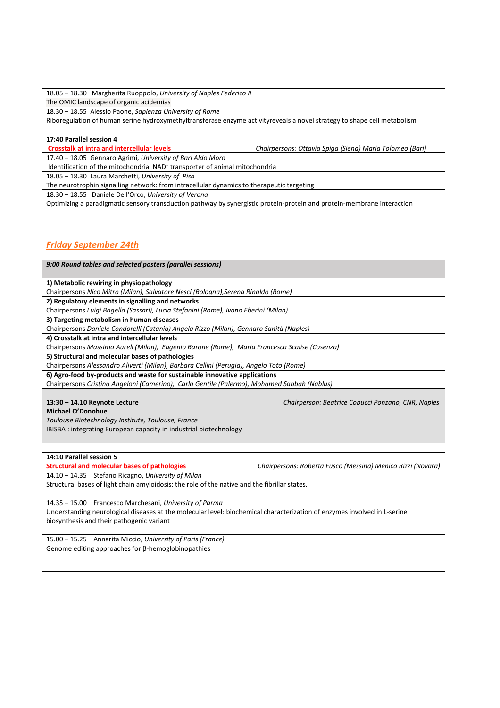18.05 – 18.30 Margherita Ruoppolo, *University of Naples Federico II*  The OMIC landscape of organic acidemias

18.30 – 18.55 Alessio Paone, *Sapienza University of Rome* 

Riboregulation of human serine hydroxymethyltransferase enzyme activityreveals a novel strategy to shape cell metabolism

## **17:40 Parallel session 4**

**Crosstalk at intra and intercellular levels** *Chairpersons: Ottavia Spiga (Siena) Maria Tolomeo (Bari)*

17.40 – 18.05 Gennaro Agrimi, *University of Bari Aldo Moro*

Identification of the mitochondrial NAD<sup>+</sup> transporter of animal mitochondria

18.05 – 18.30 Laura Marchetti, *University of Pisa*

The neurotrophin signalling network: from intracellular dynamics to therapeutic targeting

18.30 – 18.55 Daniele Dell'Orco, *University of Verona* 

Optimizing a paradigmatic sensory transduction pathway by synergistic protein-protein and protein-membrane interaction

## *Friday September 24th*

*9:00 Round tables and selected posters (parallel sessions)*  **1) Metabolic rewiring in physiopathology** Chairpersons *Nico Mitro (Milan), Salvatore Nesci (Bologna),Serena Rinaldo (Rome)* **2) Regulatory elements in signalling and networks**  Chairpersons *Luigi Bagella (Sassari), Lucia Stefanini (Rome), Ivano Eberini (Milan)*  **3) Targeting metabolism in human diseases**  Chairpersons *Daniele Condorelli (Catania) Angela Rizzo (Milan), Gennaro Sanità (Naples)* **4) Crosstalk at intra and intercellular levels** Chairpersons *Massimo Aureli (Milan), Eugenio Barone (Rome), Maria Francesca Scalise (Cosenza)*  **5) Structural and molecular bases of pathologies**  Chairpersons *Alessandro Aliverti (Milan), Barbara Cellini (Perugia), Angelo Toto (Rome)*  **6) Agro-food by-products and waste for sustainable innovative applications**  Chairpersons *Cristina Angeloni (Camerino), Carla Gentile (Palermo), Mohamed Sabbah (Nablus)*  **13:30 – 14.10 Keynote Lecture** *Chairperson: Beatrice Cobucci Ponzano, CNR, Naples* **Michael O'Donohue**  *Toulouse Biotechnology Institute, Toulouse, France*  IBISBA : integrating European capacity in industrial biotechnology **14:10 Parallel session 5 Structural and molecular bases of pathologies** *Chairpersons: Roberta Fusco (Messina) Menico Rizzi (Novara)* 14.10 – 14.35 Stefano Ricagno, *University of Milan*  Structural bases of light chain amyloidosis: the role of the native and the fibrillar states. 14.35 – 15.00 Francesco Marchesani, *University of Parma*  Understanding neurological diseases at the molecular level: biochemical characterization of enzymes involved in L-serine biosynthesis and their pathogenic variant 15.00 – 15.25 Annarita Miccio, *University of Paris (France)* 

Genome editing approaches for β-hemoglobinopathies